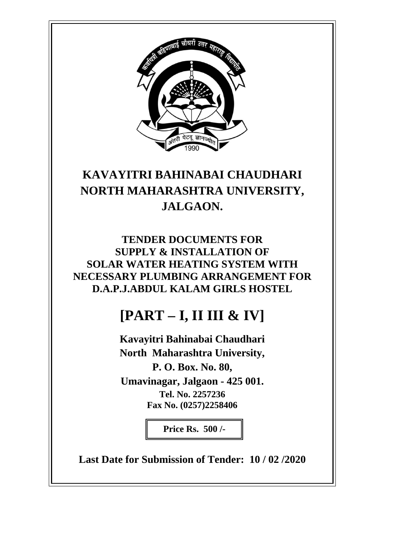

# **KAVAYITRI BAHINABAI CHAUDHARI NORTH MAHARASHTRA UNIVERSITY, JALGAON.**

**TENDER DOCUMENTS FOR SUPPLY & INSTALLATION OF SOLAR WATER HEATING SYSTEM WITH NECESSARY PLUMBING ARRANGEMENT FOR D.A.P.J.ABDUL KALAM GIRLS HOSTEL** 

# **[PART – I, II III & IV]**

**Kavayitri Bahinabai Chaudhari North Maharashtra University, P. O. Box. No. 80, Umavinagar, Jalgaon - 425 001. Tel. No. 2257236 Fax No. (0257)2258406** 

**Price Rs. 500 /-** 

**Last Date for Submission of Tender: 10 / 02 /2020**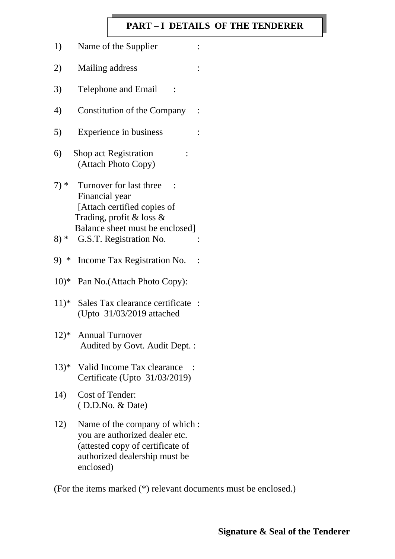#### **PART – I DETAILS OF THE TENDERER**

1) Name of the Supplier : 2) Mailing address : 3) Telephone and Email : 4) Constitution of the Company : 5) Experience in business : 6) Shop act Registration : (Attach Photo Copy) 7) \* Turnover for last three : Financial year [Attach certified copies of Trading, profit & loss & Balance sheet must be enclosed] 8) \* G.S.T. Registration No. : 9) \* Income Tax Registration No. : 10)\* Pan No.(Attach Photo Copy): 11)\* Sales Tax clearance certificate : (Upto 31/03/2019 attached 12)\* Annual Turnover Audited by Govt. Audit Dept. : 13)\* Valid Income Tax clearance : Certificate (Upto 31/03/2019) 14) Cost of Tender: ( D.D.No. & Date) 12) Name of the company of which : you are authorized dealer etc. (attested copy of certificate of authorized dealership must be

(For the items marked (\*) relevant documents must be enclosed.)

enclosed)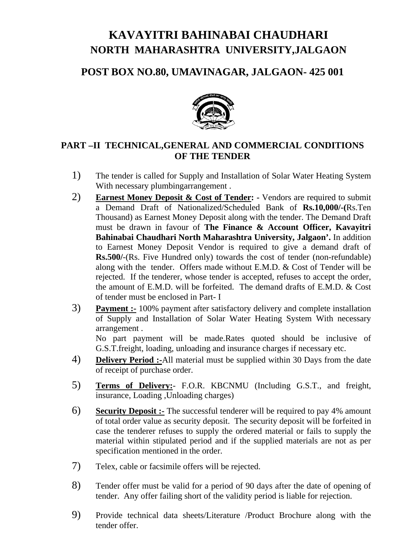# **KAVAYITRI BAHINABAI CHAUDHARI NORTH MAHARASHTRA UNIVERSITY,JALGAON**

## **POST BOX NO.80, UMAVINAGAR, JALGAON- 425 001**



#### **PART –II TECHNICAL,GENERAL AND COMMERCIAL CONDITIONS OF THE TENDER**

- 1) The tender is called for Supply and Installation of Solar Water Heating System With necessary plumbingarrangement.
- 2) **Earnest Money Deposit & Cost of Tender: -** Vendors are required to submit a Demand Draft of Nationalized/Scheduled Bank of **Rs.10,000/-(**Rs.Ten Thousand) as Earnest Money Deposit along with the tender. The Demand Draft must be drawn in favour of **The Finance & Account Officer, Kavayitri Bahinabai Chaudhari North Maharashtra University, Jalgaon'.** In addition to Earnest Money Deposit Vendor is required to give a demand draft of **Rs.500/**-(Rs. Five Hundred only) towards the cost of tender (non-refundable) along with the tender. Offers made without E.M.D. & Cost of Tender will be rejected. If the tenderer, whose tender is accepted, refuses to accept the order, the amount of E.M.D. will be forfeited. The demand drafts of E.M.D. & Cost of tender must be enclosed in Part- I
- 3) **Payment :-** 100% payment after satisfactory delivery and complete installation of Supply and Installation of Solar Water Heating System With necessary arrangement .

No part payment will be made.Rates quoted should be inclusive of G.S.T.freight, loading, unloading and insurance charges if necessary etc.

- 4) **Delivery Period :-**All material must be supplied within 30 Days from the date of receipt of purchase order.
- 5) **Terms of Delivery:** F.O.R. KBCNMU (Including G.S.T., and freight, insurance, Loading ,Unloading charges)
- 6) **Security Deposit :-** The successful tenderer will be required to pay 4% amount of total order value as security deposit. The security deposit will be forfeited in case the tenderer refuses to supply the ordered material or fails to supply the material within stipulated period and if the supplied materials are not as per specification mentioned in the order.
- 7) Telex, cable or facsimile offers will be rejected.
- 8) Tender offer must be valid for a period of 90 days after the date of opening of tender. Any offer failing short of the validity period is liable for rejection.
- 9) Provide technical data sheets/Literature /Product Brochure along with the tender offer.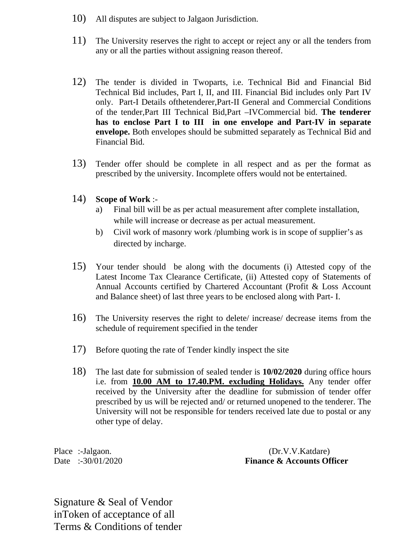- 10) All disputes are subject to Jalgaon Jurisdiction.
- 11) The University reserves the right to accept or reject any or all the tenders from any or all the parties without assigning reason thereof.
- 12) The tender is divided in Twoparts, i.e. Technical Bid and Financial Bid Technical Bid includes, Part I, II, and III. Financial Bid includes only Part IV only. Part-I Details ofthetenderer,Part-II General and Commercial Conditions of the tender,Part III Technical Bid,Part –IVCommercial bid. **The tenderer has to enclose Part I to III in one envelope and Part-IV in separate envelope.** Both envelopes should be submitted separately as Technical Bid and Financial Bid.
- 13) Tender offer should be complete in all respect and as per the format as prescribed by the university. Incomplete offers would not be entertained.
- 14) **Scope of Work** :
	- a) Final bill will be as per actual measurement after complete installation, while will increase or decrease as per actual measurement.
	- b) Civil work of masonry work /plumbing work is in scope of supplier's as directed by incharge.
- 15) Your tender should be along with the documents (i) Attested copy of the Latest Income Tax Clearance Certificate, (ii) Attested copy of Statements of Annual Accounts certified by Chartered Accountant (Profit & Loss Account and Balance sheet) of last three years to be enclosed along with Part- I.
- 16) The University reserves the right to delete/ increase/ decrease items from the schedule of requirement specified in the tender
- 17) Before quoting the rate of Tender kindly inspect the site
- 18) The last date for submission of sealed tender is **10/02/2020** during office hours i.e. from **10.00 AM to 17.40.PM. excluding Holidays.** Any tender offer received by the University after the deadline for submission of tender offer prescribed by us will be rejected and/ or returned unopened to the tenderer. The University will not be responsible for tenders received late due to postal or any other type of delay.

Place :-Jalgaon. (Dr.V.V.Katdare) Date :-30/01/2020 **Finance & Accounts Officer** 

Signature & Seal of Vendor inToken of acceptance of all Terms & Conditions of tender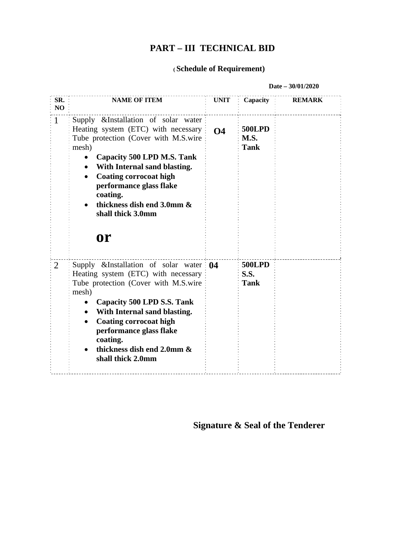## **PART – III TECHNICAL BID**

#### **( Schedule of Requirement)**

**Date – 30/01/2020** 

| SR.<br>NO    | <b>NAME OF ITEM</b>                                                                                                                                                                                                                                                                                                                                                     | <b>UNIT</b> | Capacity                                    | <b>REMARK</b> |
|--------------|-------------------------------------------------------------------------------------------------------------------------------------------------------------------------------------------------------------------------------------------------------------------------------------------------------------------------------------------------------------------------|-------------|---------------------------------------------|---------------|
| $\mathbf{1}$ | Supply & Installation of solar water<br>Heating system (ETC) with necessary<br>Tube protection (Cover with M.S.wire<br>mesh)<br>Capacity 500 LPD M.S. Tank<br>With Internal sand blasting.<br>$\bullet$<br><b>Coating corrocoat high</b><br>performance glass flake<br>coating.<br>thickness dish end 3.0mm &<br>shall thick 3.0mm<br>or                                | $\Omega$ 4  | <b>500LPD</b><br><b>M.S.</b><br><b>Tank</b> |               |
| 2            | Supply & Installation of solar water $\theta$ 4<br>Heating system (ETC) with necessary<br>Tube protection (Cover with M.S.wire<br>mesh)<br>Capacity 500 LPD S.S. Tank<br>$\bullet$<br>With Internal sand blasting.<br>$\bullet$<br><b>Coating corrocoat high</b><br>$\bullet$<br>performance glass flake<br>coating.<br>thickness dish end 2.0mm &<br>shall thick 2.0mm |             | <b>500LPD</b><br><b>S.S.</b><br><b>Tank</b> |               |

 **Signature & Seal of the Tenderer**